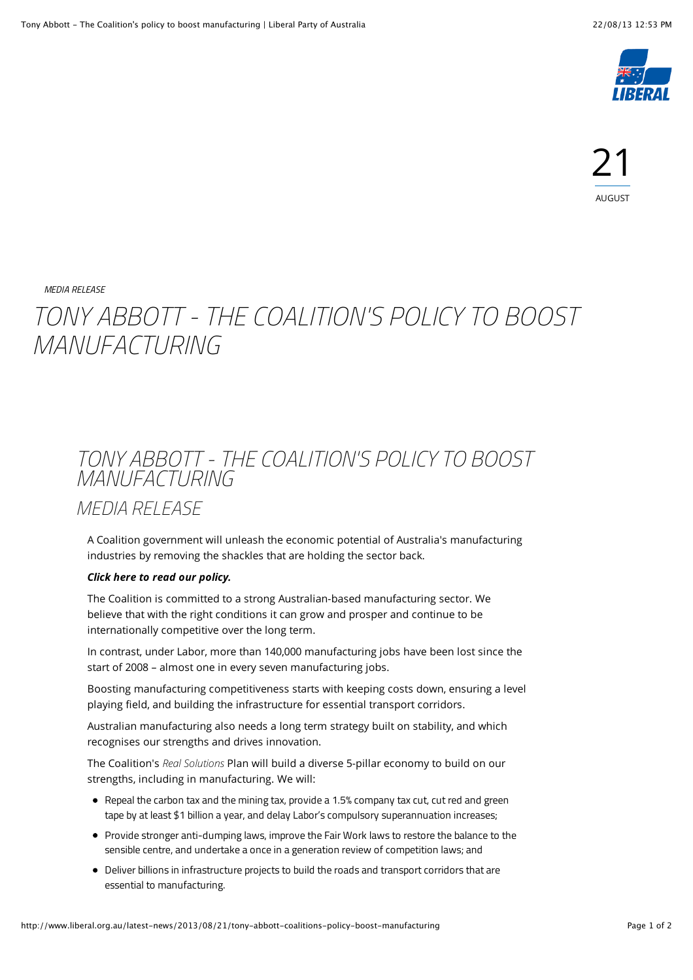

*[MEDIA RELEASE](http://www.liberal.org.au/category/media-release)*

## *TONY ABBOTT - THE COALITION'S POLICY TO BOOST MANUFACTURING*

## *TONY ABBOTT - THE COALITION'S POLICY TO BOOST MANUFACTURING*

*MEDIA RELEASE*

A Coalition government will unleash the economic potential of Australia's manufacturing industries by removing the shackles that are holding the sector back.

## *[Click here to read our policy.](http://lpaweb-static.s3.amazonaws.com/13-08-21%20The%20Coalitions%20Policy%20to%20Boost%20the%20Competitiveness%20of%20Australian%20Manufacturing.pdf)*

The Coalition is committed to a strong Australian-based manufacturing sector. We believe that with the right conditions it can grow and prosper and continue to be internationally competitive over the long term.

In contrast, under Labor, more than 140,000 manufacturing jobs have been lost since the start of 2008 – almost one in every seven manufacturing jobs.

Boosting manufacturing competitiveness starts with keeping costs down, ensuring a level playing field, and building the infrastructure for essential transport corridors.

Australian manufacturing also needs a long term strategy built on stability, and which recognises our strengths and drives innovation.

The Coalition's *Real Solutions* Plan will build a diverse 5-pillar economy to build on our strengths, including in manufacturing. We will:

- Repeal the carbon tax and the mining tax, provide a 1.5% company tax cut, cut red and green tape by at least \$1 billion a year, and delay Labor's compulsory superannuation increases;
- Provide stronger anti-dumping laws, improve the Fair Work laws to restore the balance to the sensible centre, and undertake a once in a generation review of competition laws; and
- Deliver billions in infrastructure projects to build the roads and transport corridors that are essential to manufacturing.